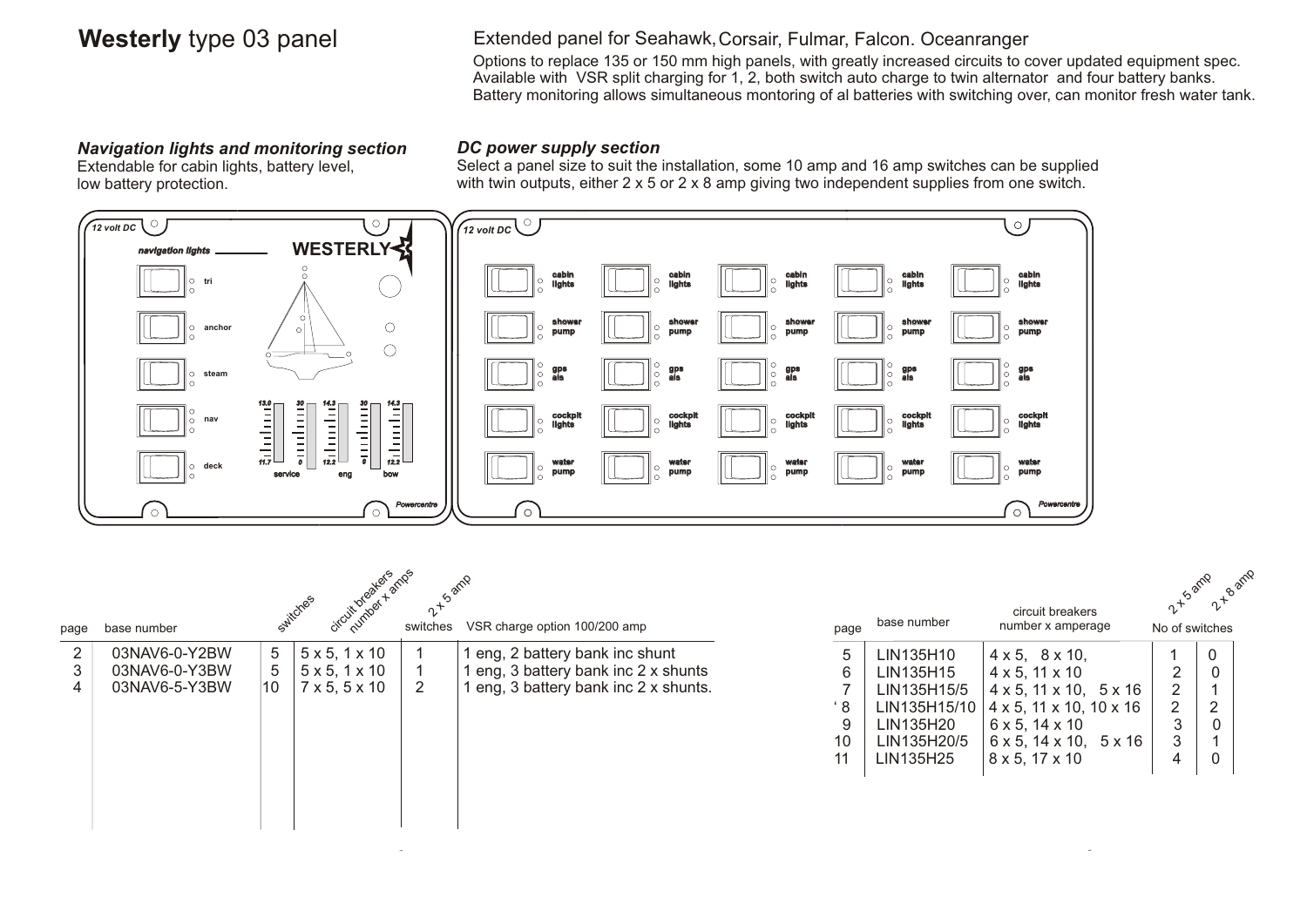### **Westerly** type 03 panel **Correst Extended panel for Seahawk, Corsair**, Fulmar, Falcon. Oceanranger

Options to replace 135 or 150 mm high panels, with greatly increased circuits to cover updated equipment spec. Available with VSR split charging for 1, 2, both switch auto charge to twin alternator and four battery banks. Battery monitoring allows simultaneous montoring of al batteries with switching over, can monitor fresh water tank.

### *Navigation lights and monitoring section*

Extendable for cabin lights, battery level, low battery protection.

### *DC power supply section*

Select a panel size to suit the installation, some 10 amp and 16 amp switches can be supplied with twin outputs, either 2 x 5 or 2 x 8 amp giving two independent supplies from one switch.



| page | base number   |    | circuit breakers<br>Switches | switches       | VSR charge option 100/200 amp       | page | base number  | circuit breakers<br>number x amperage         | 2-15 amp<br>No of switches | 2 - B amp      |
|------|---------------|----|------------------------------|----------------|-------------------------------------|------|--------------|-----------------------------------------------|----------------------------|----------------|
| 2    | 03NAV6-0-Y2BW | 5  | $5 \times 5, 1 \times 10$    |                | eng, 2 battery bank inc shunt       | 5    | LIN135H10    | $4 \times 5$ , $8 \times 10$ ,                |                            | 0              |
| 3    | 03NAV6-0-Y3BW | 5  | $5 \times 5, 1 \times 10$    |                | eng, 3 battery bank inc 2 x shunts  | 6    | LIN135H15    | $4 \times 5$ , 11 $\times$ 10                 | 2                          | $\overline{0}$ |
| 4    | 03NAV6-5-Y3BW | 10 | $7 \times 5, 5 \times 10$    | $\overline{2}$ | eng, 3 battery bank inc 2 x shunts. |      | LIN135H15/5  | $4 \times 5$ , $11 \times 10$ , $5 \times 16$ | 2                          |                |
|      |               |    |                              |                |                                     | ' 8  | LIN135H15/10 | $4 \times 5$ , 11 $\times$ 10, 10 $\times$ 16 | $\overline{2}$             | റ              |
|      |               |    |                              |                |                                     |      | LIN135H20    | $6 \times 5, 14 \times 10$                    | 3                          |                |
|      |               |    |                              |                |                                     | 10   | LIN135H20/5  | $6 \times 5$ , $14 \times 10$ , $5 \times 16$ | 3                          |                |
|      |               |    |                              |                |                                     | 11   | LIN135H25    | $8 \times 5, 17 \times 10$                    | 4                          | 0              |
|      |               |    |                              |                |                                     |      |              |                                               |                            |                |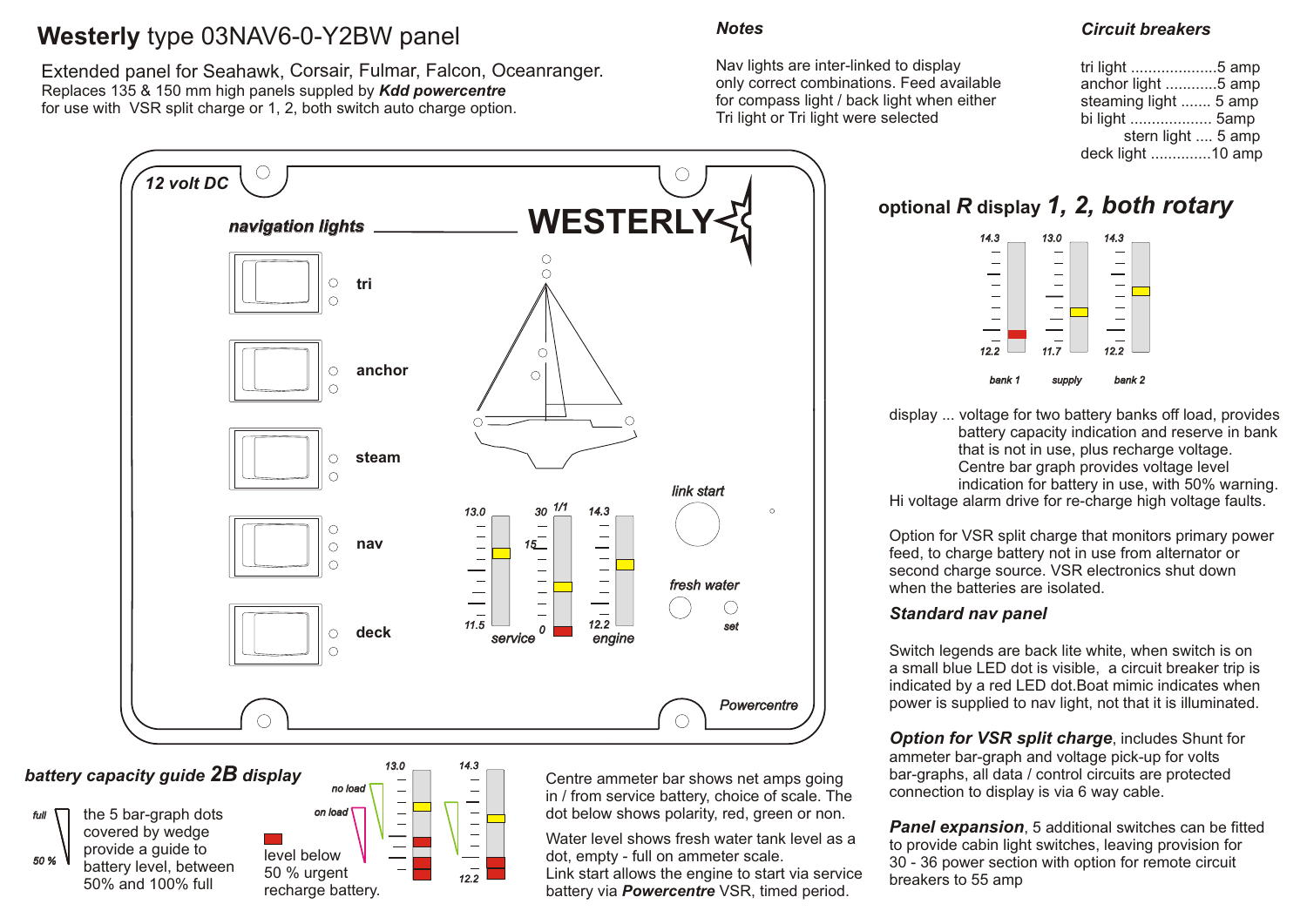# **Westerly** type 03NAV6-0-Y2BW panel

Extended panel for Seahawk, Corsair, Fulmar, Falcon, Oceanranger. Replaces 135 & 150 mm high panels suppled by *Kdd powercentre* for use with VSR split charge or 1, 2, both switch auto charge option.



*battery capacity guide 2B display*

*full*  $\bigcap$  the 5 bar-graph dots on load

 *50 %*

covered by wedge provide a guide to battery level, between 50% and 100% full



Centre ammeter bar shows net amps going in / from service battery, choice of scale. The dot below shows polarity, red, green or non.

Water level shows fresh water tank level as a dot, empty - full on ammeter scale. Link start allows the engine to start via service battery via *Powercentre* VSR, timed period.

### *Notes*

Nav lights are inter-linked to display only correct combinations. Feed available for compass light / back light when either Tri light or Tri light were selected

### *Circuit breakers*

| tri light 5 amp       |
|-----------------------|
| anchor light 5 amp    |
| steaming light  5 amp |
| bi light  5amp        |
| stern light  5 amp    |
| deck light 10 amp     |
|                       |

# **optional** *R* **display** *1, 2, both rotary*



display ... voltage for two battery banks off load, provides battery capacity indication and reserve in bank that is not in use, plus recharge voltage. Centre bar graph provides voltage level indication for battery in use, with 50% warning. Hi voltage alarm drive for re-charge high voltage faults.

Option for VSR split charge that monitors primary power feed, to charge battery not in use from alternator or second charge source. VSR electronics shut down when the batteries are isolated.

### *Standard nav panel*

Switch legends are back lite white, when switch is on a small blue LED dot is visible, a circuit breaker trip is indicated by a red LED dot.Boat mimic indicates when power is supplied to nav light, not that it is illuminated.

**Option for VSR split charge, includes Shunt for** ammeter bar-graph and voltage pick-up for volts bar-graphs, all data / control circuits are protected connection to display is via 6 way cable.

**Panel expansion**, 5 additional switches can be fitted to provide cabin light switches, leaving provision for 30 - 36 power section with option for remote circuit breakers to 55 amp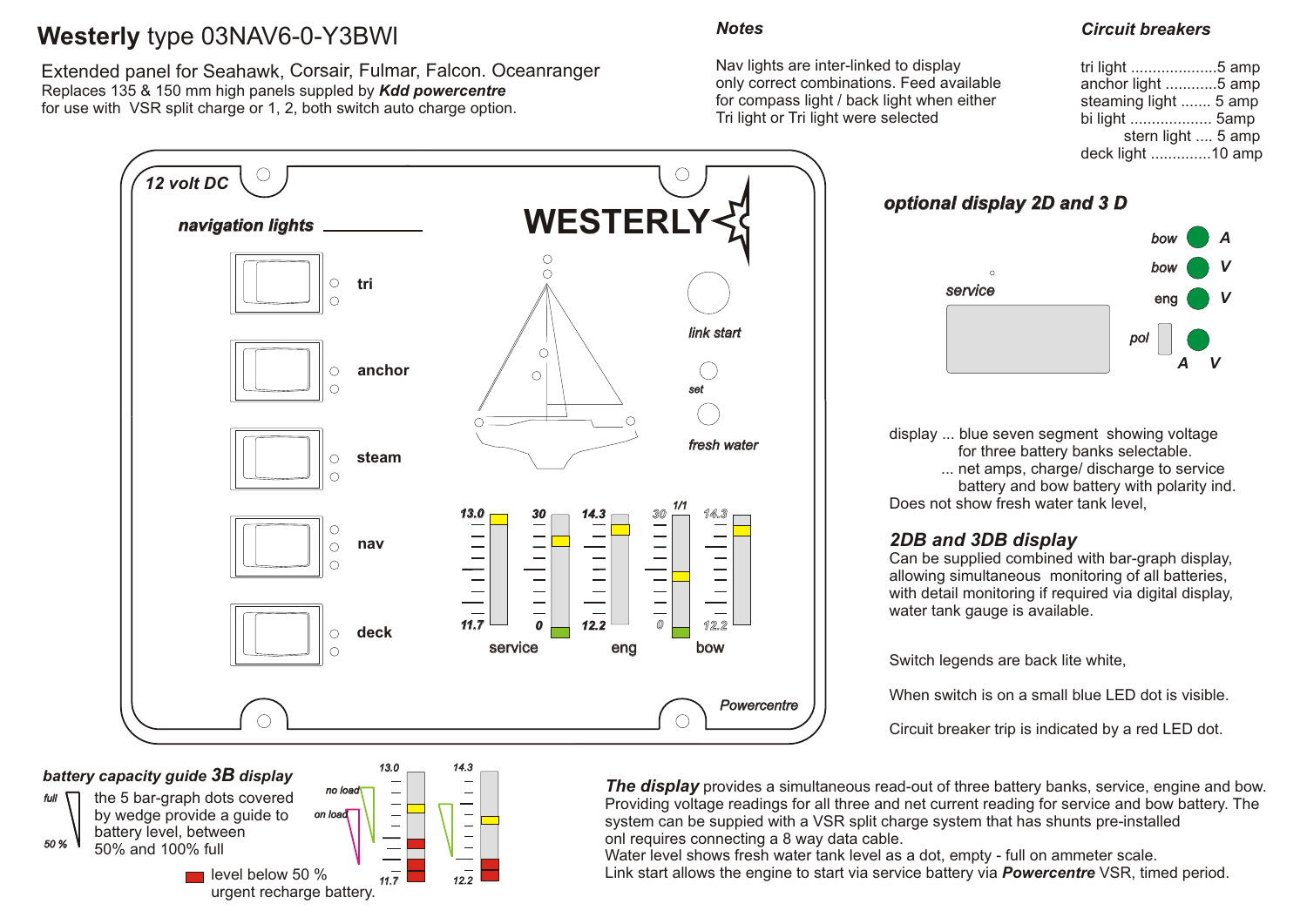# **Westerly** type 03NAV6-0-Y3BWl

Extended panel for Seahawk, Corsair, Fulmar, Falcon. Oceanranger Replaces 135 & 150 mm high panels suppled by *Kdd powercentre* for use with VSR split charge or 1, 2, both switch auto charge option.



### *battery capacity guide 3B display*



 *on load* the 5 bar-graph dots covered by wedge provide a guide to battery level, between 50% and 100% full  $\blacksquare$  level below 50 %



### *Notes*

Nav lights are inter-linked to display only correct combinations. Feed available for compass light / back light when either Tri light or Tri light were selected

### *Circuit breakers*

| tri light 5 amp       |  |
|-----------------------|--|
| anchor light 5 amp    |  |
| steaming light  5 amp |  |
| bi light  5amp        |  |
| stern light  5 amp    |  |
| deck light 10 amp     |  |

*optional display 2D and 3 D*



display ... blue seven segment showing voltage for three battery banks selectable. ... net amps, charge/ discharge to service battery and bow battery with polarity ind. Does not show fresh water tank level.

### *2DB and 3DB display*

Can be supplied combined with bar-graph display, allowing simultaneous monitoring of all batteries, with detail monitoring if required via digital display, water tank gauge is available.

Switch legends are back lite white,

When switch is on a small blue LED dot is visible.

Circuit breaker trip is indicated by a red LED dot.

**The display** provides a simultaneous read-out of three battery banks, service, engine and bow. Providing voltage readings for all three and net current reading for service and bow battery. The system can be suppied with a VSR split charge system that has shunts pre-installed onl requires connecting a 8 way data cable.

Water level shows fresh water tank level as a dot, empty - full on ammeter scale. Link start allows the engine to start via service battery via *Powercentre* VSR, timed period.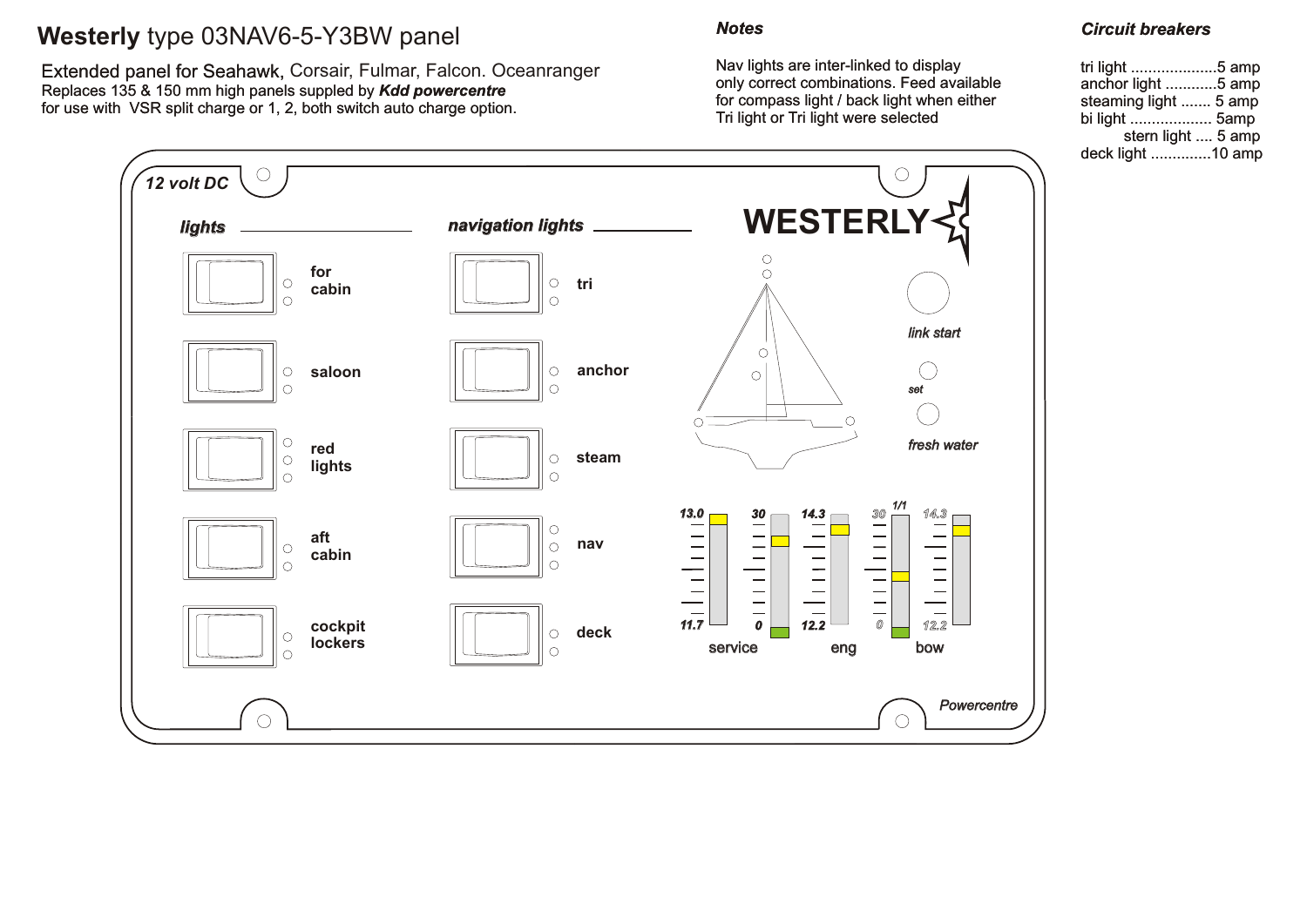# **Westerly** type 03NAV6-5-Y3BW panel

Replaces 135 & 150 mm high panels suppled by *Kdd powercentre* for use with VSR split charge or 1, 2, both switch auto charge option. Extended panel for Seahawk, Corsair, Fulmar, Falcon. Oceanranger

### *Notes*

Nav lights are inter-linked to display only correct combinations. Feed available for compass light / back light when either Tri light or Tri light were selected

### *Circuit breakers*

| tri light 5 amp       |  |
|-----------------------|--|
| anchor light 5 amp    |  |
| steaming light  5 amp |  |
| bi light  5amp        |  |
| stern light  5 amp    |  |
| deck light 10 amp     |  |

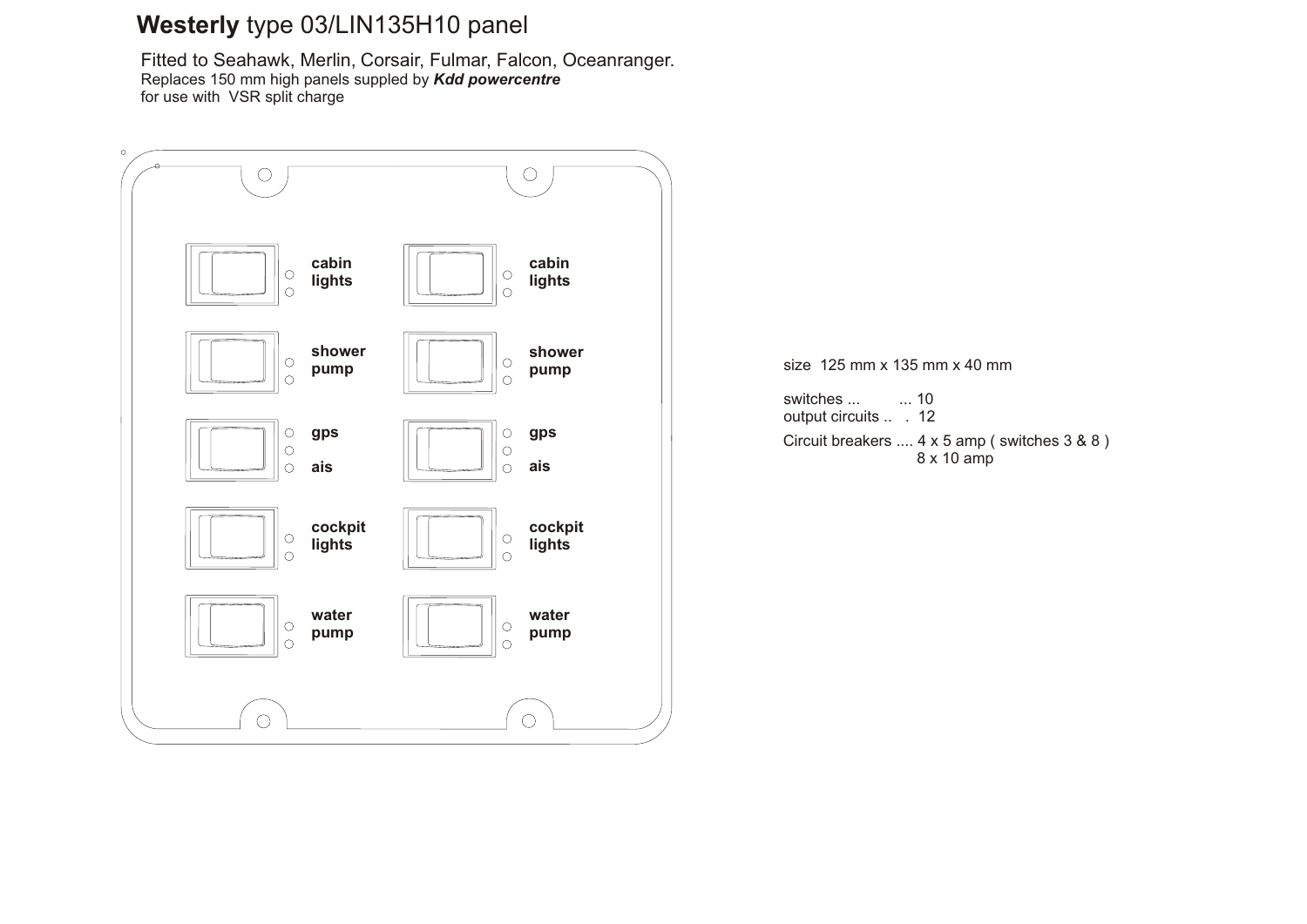# **Westerly** type 03/LIN135H10 panel

Fitted to Seahawk, Merlin, Corsair, Fulmar, Falcon, Oceanranger. Replaces 150 mm high panels suppled by *Kdd powercentre* for use with VSR split charge

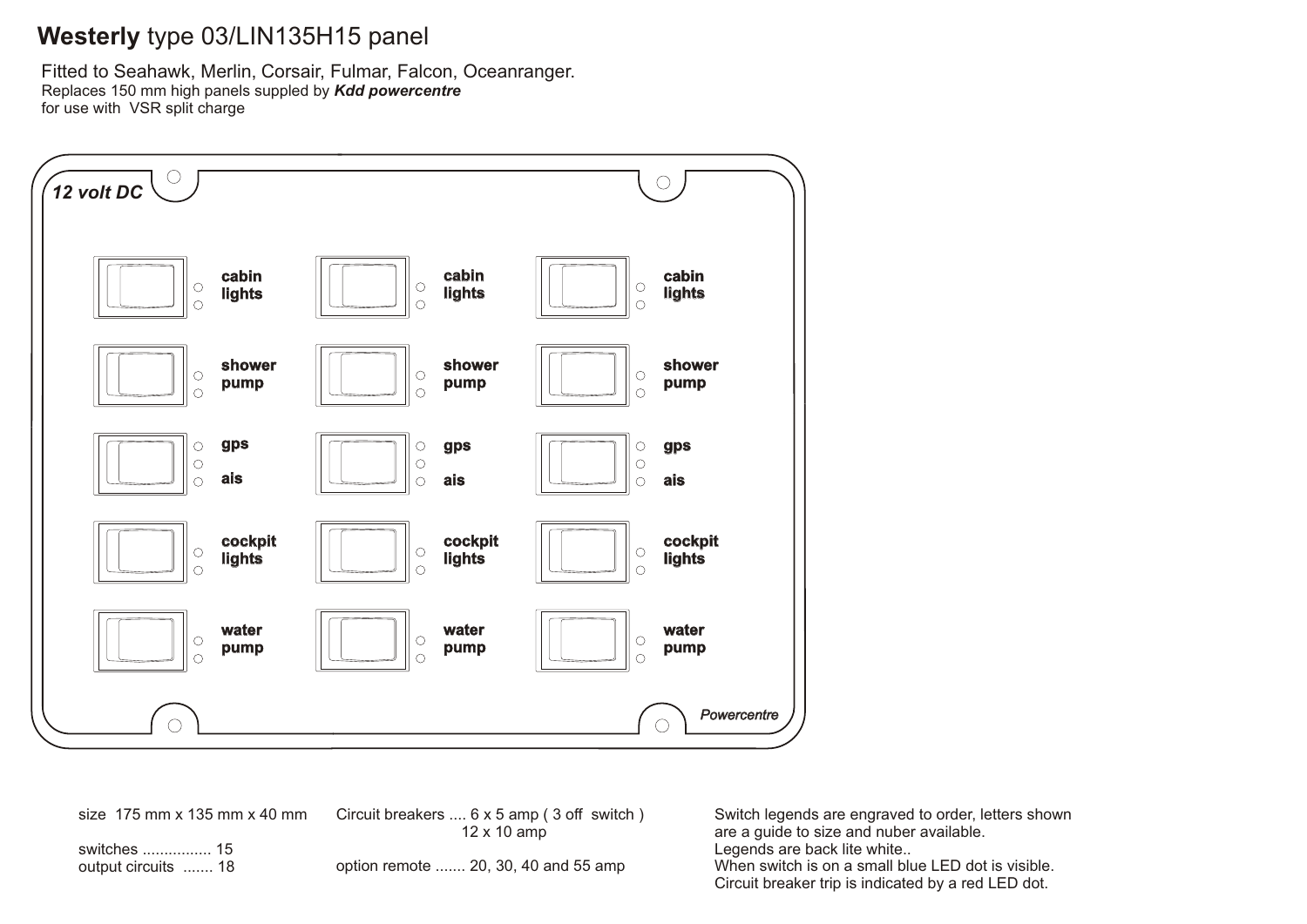# **Westerly** type 03/LIN135H15 panel

Fitted to Seahawk, Merlin, Corsair, Fulmar, Falcon, Oceanranger. Replaces 150 mm high panels suppled by *Kdd powercentre* for use with VSR split charge



size 175 mm x 135 mm x 40 mm

Circuit breakers .... 6 x 5 amp ( 3 off switch ) 12 x 10 amp

switches ................ 15 output circuits ....... 18

option remote ....... 20, 30, 40 and 55 amp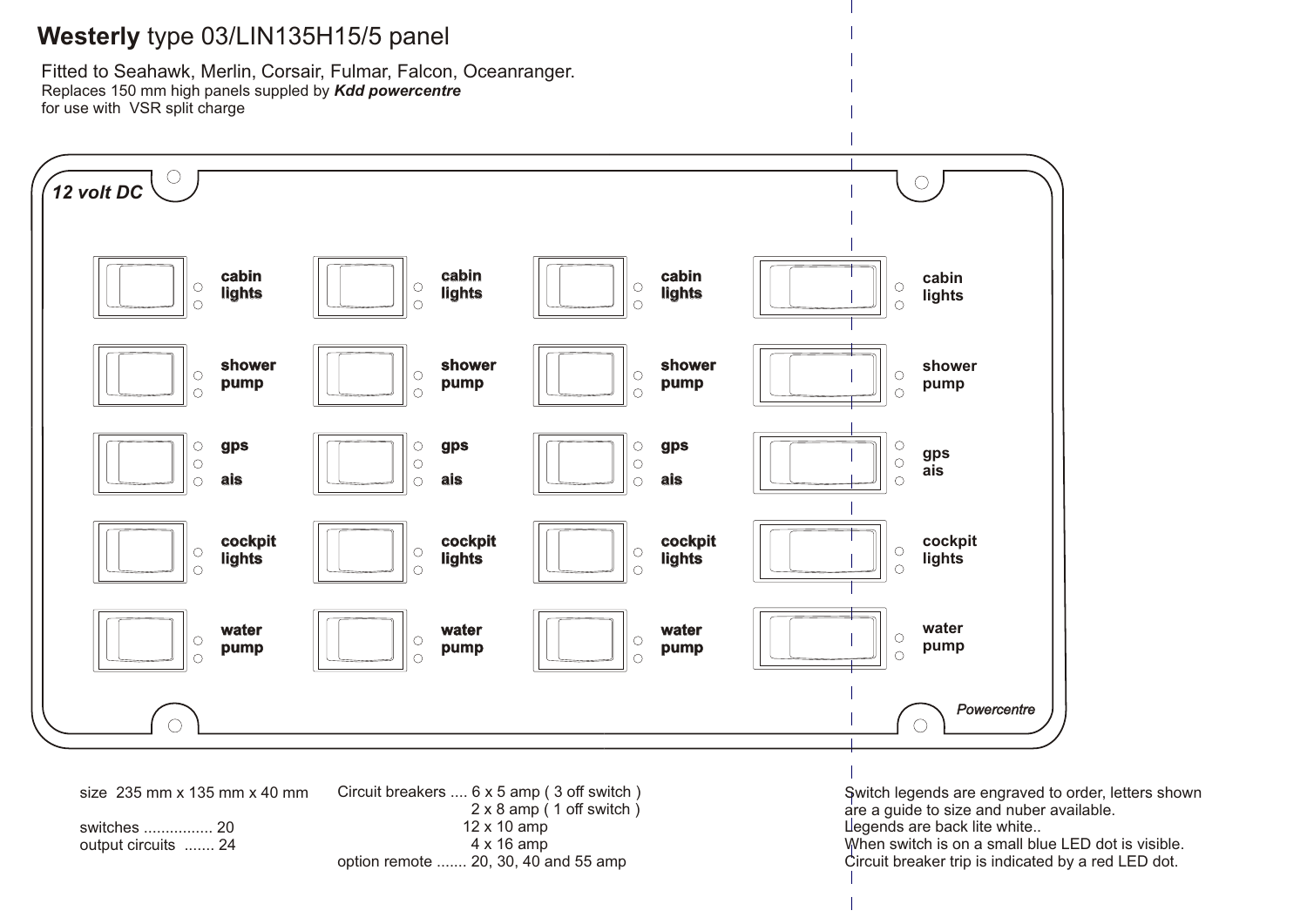### **Westerly** type 03/LIN135H15/5 panel

Fitted to Seahawk, Merlin, Corsair, Fulmar, Falcon, Oceanranger. Replaces 150 mm high panels suppled by *Kdd powercentre* for use with VSR split charge

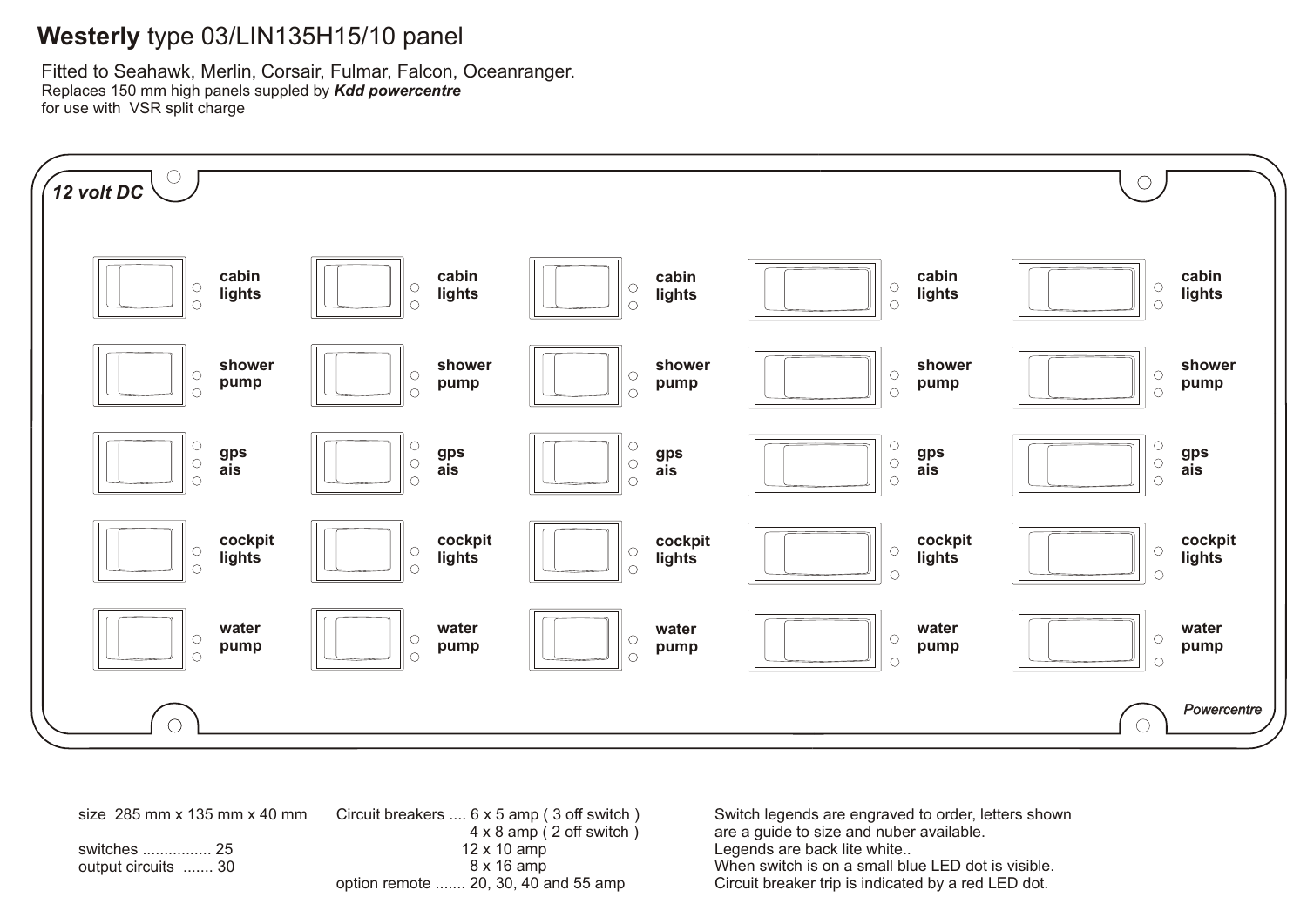# **Westerly** type 03/LIN135H15/10 panel

Fitted to Seahawk, Merlin, Corsair, Fulmar, Falcon, Oceanranger. Replaces 150 mm high panels suppled by *Kdd powercentre* for use with VSR split charge



size 285 mm x 135 mm x 40 mm switches ................ 25 output circuits ....... 30 Circuit breakers .... 6 x 5 amp ( 3 off switch ) 4 x 8 amp ( 2 off switch ) 12 x 10 amp 8 x 16 amp option remote ....... 20, 30, 40 and 55 amp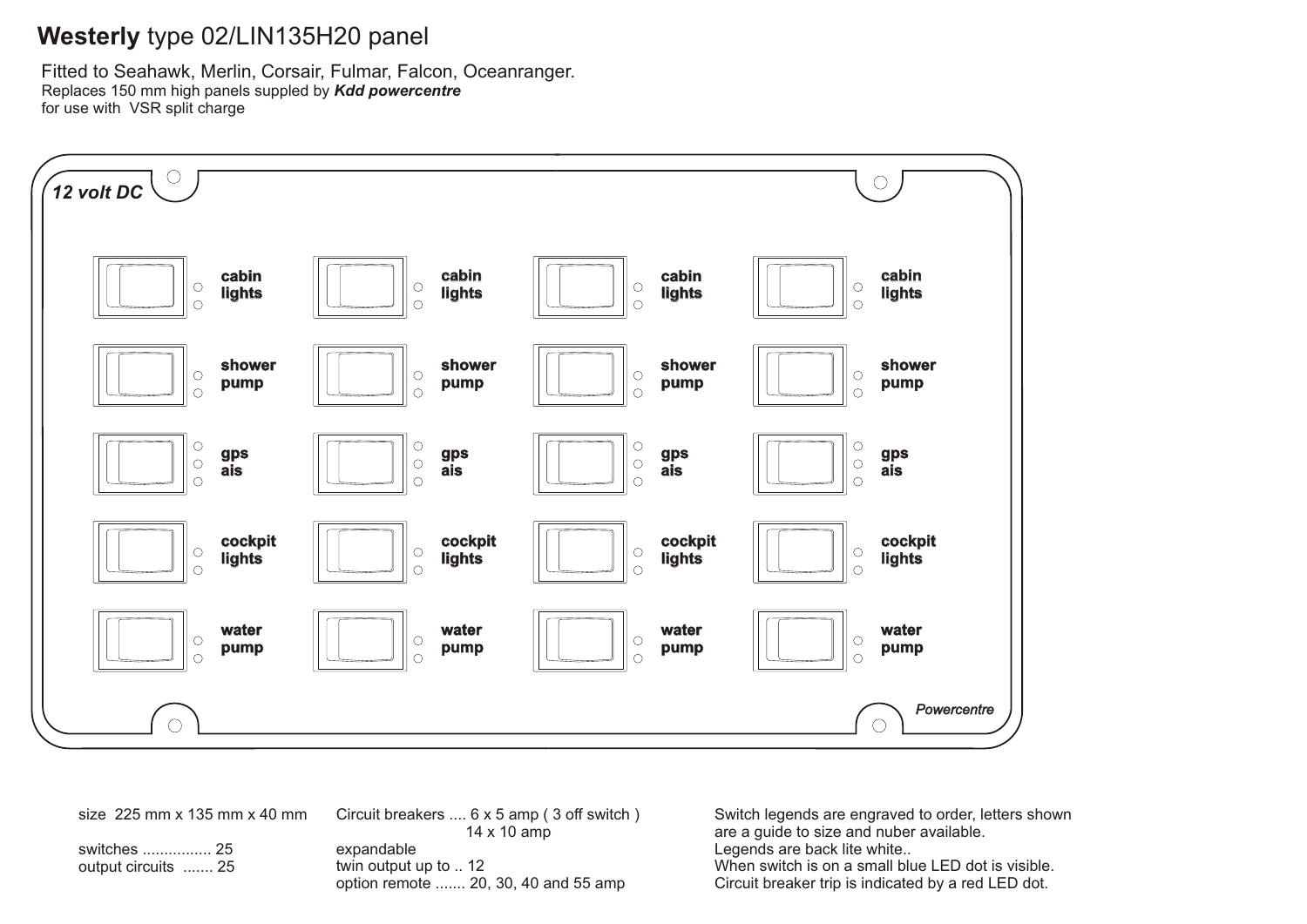# **Westerly** type 02/LIN135H20 panel

Fitted to Seahawk, Merlin, Corsair, Fulmar, Falcon, Oceanranger. Replaces 150 mm high panels suppled by *Kdd powercentre* for use with VSR split charge



size 225 mm x 135 mm x 40 mm

switches ................ 25 output circuits ....... 25 Circuit breakers .... 6 x 5 amp ( 3 off switch ) 14 x 10 amp expandable twin output up to .. 12 option remote ....... 20, 30, 40 and 55 amp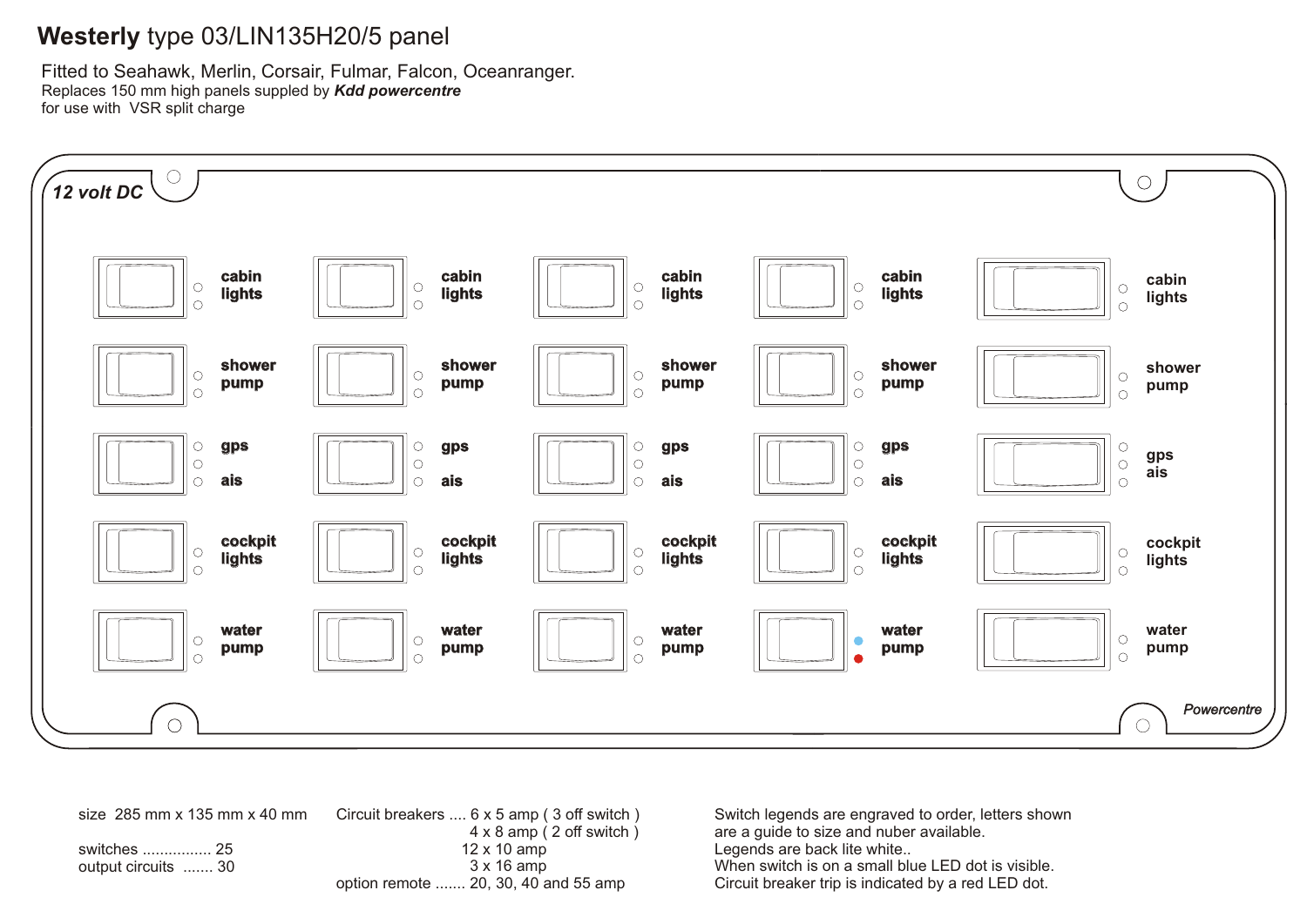# **Westerly** type 03/LIN135H20/5 panel

Fitted to Seahawk, Merlin, Corsair, Fulmar, Falcon, Oceanranger. Replaces 150 mm high panels suppled by *Kdd powercentre* for use with VSR split charge



size 285 mm x 135 mm x 40 mm switches ................ 25 output circuits ....... 30 Circuit breakers .... 6 x 5 amp ( 3 off switch ) 4 x 8 amp ( 2 off switch ) 12 x 10 amp 3 x 16 amp option remote ....... 20, 30, 40 and 55 amp